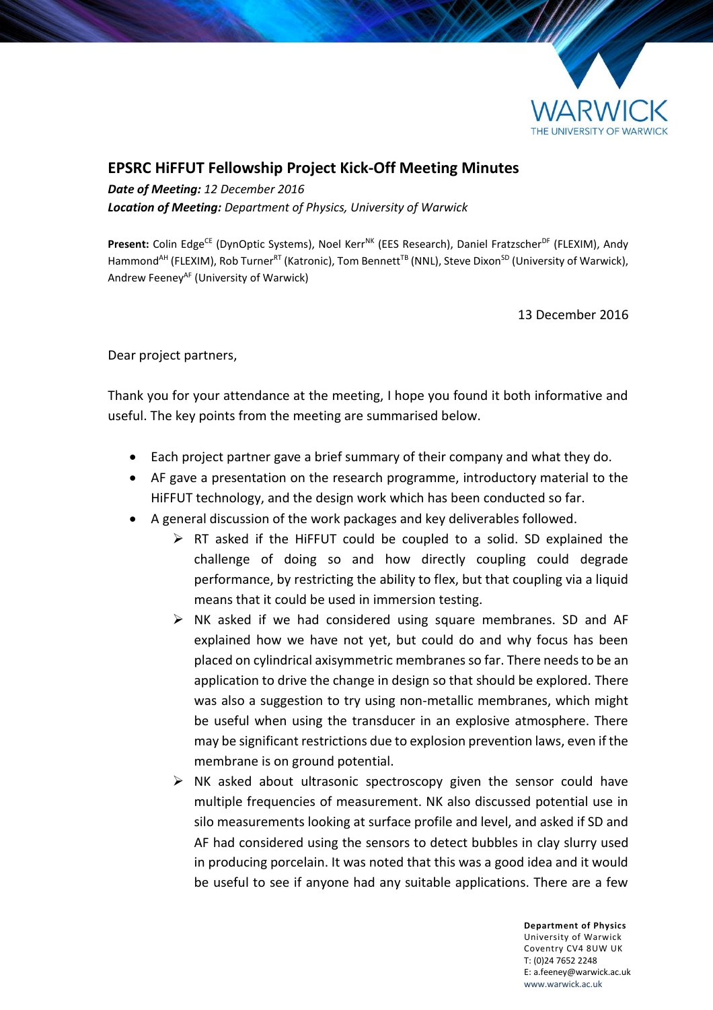

## **EPSRC HiFFUT Fellowship Project Kick-Off Meeting Minutes**

*Date of Meeting: 12 December 2016 Location of Meeting: Department of Physics, University of Warwick*

Present: Colin Edge<sup>CE</sup> (DynOptic Systems), Noel Kerr<sup>NK</sup> (EES Research), Daniel Fratzscher<sup>DF</sup> (FLEXIM), Andy Hammond<sup>AH</sup> (FLEXIM), Rob Turner<sup>RT</sup> (Katronic), Tom Bennett<sup>TB</sup> (NNL), Steve Dixon<sup>SD</sup> (University of Warwick), Andrew Feeney<sup>AF</sup> (University of Warwick)

13 December 2016

Dear project partners,

Thank you for your attendance at the meeting, I hope you found it both informative and useful. The key points from the meeting are summarised below.

- Each project partner gave a brief summary of their company and what they do.
- AF gave a presentation on the research programme, introductory material to the HiFFUT technology, and the design work which has been conducted so far.
- A general discussion of the work packages and key deliverables followed.
	- $\triangleright$  RT asked if the HiFFUT could be coupled to a solid. SD explained the challenge of doing so and how directly coupling could degrade performance, by restricting the ability to flex, but that coupling via a liquid means that it could be used in immersion testing.
	- $\triangleright$  NK asked if we had considered using square membranes. SD and AF explained how we have not yet, but could do and why focus has been placed on cylindrical axisymmetric membranes so far. There needs to be an application to drive the change in design so that should be explored. There was also a suggestion to try using non-metallic membranes, which might be useful when using the transducer in an explosive atmosphere. There may be significant restrictions due to explosion prevention laws, even if the membrane is on ground potential.
	- $\triangleright$  NK asked about ultrasonic spectroscopy given the sensor could have multiple frequencies of measurement. NK also discussed potential use in silo measurements looking at surface profile and level, and asked if SD and AF had considered using the sensors to detect bubbles in clay slurry used in producing porcelain. It was noted that this was a good idea and it would be useful to see if anyone had any suitable applications. There are a few

**Department of Physics** University of Warwick Coventry CV4 8UW UK T: (0)24 7652 2248 E: a.feeney@warwick.ac.uk <www.warwick.ac.uk>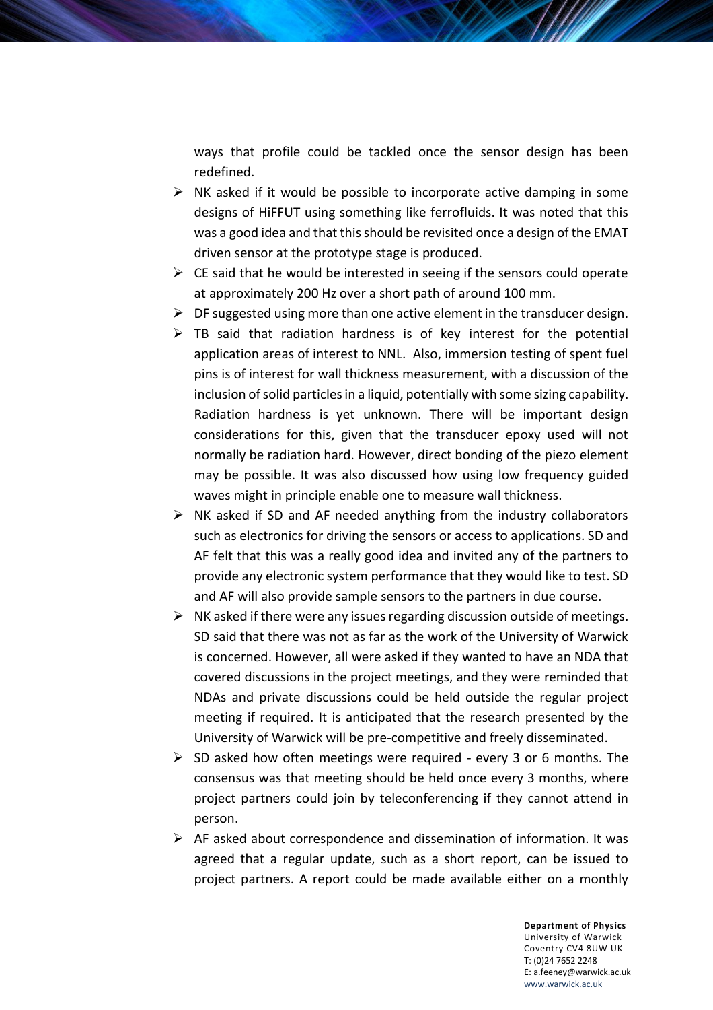ways that profile could be tackled once the sensor design has been redefined.

- $\triangleright$  NK asked if it would be possible to incorporate active damping in some designs of HiFFUT using something like ferrofluids. It was noted that this was a good idea and that this should be revisited once a design of the EMAT driven sensor at the prototype stage is produced.
- $\triangleright$  CE said that he would be interested in seeing if the sensors could operate at approximately 200 Hz over a short path of around 100 mm.
- $\triangleright$  DF suggested using more than one active element in the transducer design.
- $\triangleright$  TB said that radiation hardness is of key interest for the potential application areas of interest to NNL. Also, immersion testing of spent fuel pins is of interest for wall thickness measurement, with a discussion of the inclusion of solid particles in a liquid, potentially with some sizing capability. Radiation hardness is yet unknown. There will be important design considerations for this, given that the transducer epoxy used will not normally be radiation hard. However, direct bonding of the piezo element may be possible. It was also discussed how using low frequency guided waves might in principle enable one to measure wall thickness.
- $\triangleright$  NK asked if SD and AF needed anything from the industry collaborators such as electronics for driving the sensors or access to applications. SD and AF felt that this was a really good idea and invited any of the partners to provide any electronic system performance that they would like to test. SD and AF will also provide sample sensors to the partners in due course.
- $\triangleright$  NK asked if there were any issues regarding discussion outside of meetings. SD said that there was not as far as the work of the University of Warwick is concerned. However, all were asked if they wanted to have an NDA that covered discussions in the project meetings, and they were reminded that NDAs and private discussions could be held outside the regular project meeting if required. It is anticipated that the research presented by the University of Warwick will be pre-competitive and freely disseminated.
- $\triangleright$  SD asked how often meetings were required every 3 or 6 months. The consensus was that meeting should be held once every 3 months, where project partners could join by teleconferencing if they cannot attend in person.
- $\triangleright$  AF asked about correspondence and dissemination of information. It was agreed that a regular update, such as a short report, can be issued to project partners. A report could be made available either on a monthly

**Department of Physics** University of Warwick Coventry CV4 8UW UK T: (0)24 7652 2248 E: a.feeney@warwick.ac.uk <www.warwick.ac.uk>